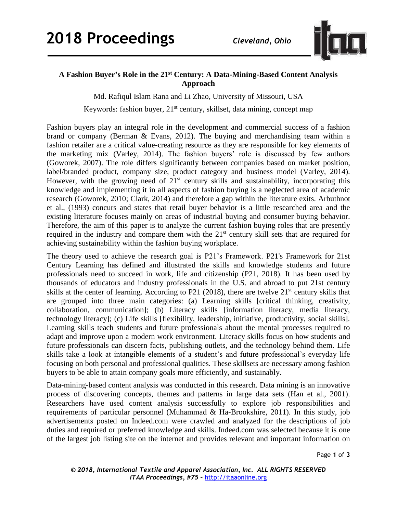

## **A Fashion Buyer's Role in the 21st Century: A Data-Mining-Based Content Analysis Approach**

Md. Rafiqul Islam Rana and Li Zhao, University of Missouri, USA

Keywords: fashion buyer,  $21<sup>st</sup>$  century, skillset, data mining, concept map

Fashion buyers play an integral role in the development and commercial success of a fashion brand or company (Berman & Evans, 2012). The buying and merchandising team within a fashion retailer are a critical value-creating resource as they are responsible for key elements of the marketing mix (Varley, 2014). The fashion buyers' role is discussed by few authors (Goworek, 2007). The role differs significantly between companies based on market position, label/branded product, company size, product category and business model (Varley, 2014). However, with the growing need of  $21<sup>st</sup>$  century skills and sustainability, incorporating this knowledge and implementing it in all aspects of fashion buying is a neglected area of academic research (Goworek, 2010; Clark, 2014) and therefore a gap within the literature exits. Arbuthnot et al., (1993) concurs and states that retail buyer behavior is a little researched area and the existing literature focuses mainly on areas of industrial buying and consumer buying behavior. Therefore, the aim of this paper is to analyze the current fashion buying roles that are presently required in the industry and compare them with the  $21<sup>st</sup>$  century skill sets that are required for achieving sustainability within the fashion buying workplace.

The theory used to achieve the research goal is P21's Framework. P21's Framework for 21st Century Learning has defined and illustrated the skills and knowledge students and future professionals need to succeed in work, life and citizenship (P21, 2018). It has been used by thousands of educators and industry professionals in the U.S. and abroad to put 21st century skills at the center of learning. According to P21 (2018), there are twelve 21<sup>st</sup> century skills that are grouped into three main categories: (a) Learning skills [critical thinking, creativity, collaboration, communication]; (b) Literacy skills [information literacy, media literacy, technology literacy]; (c) Life skills [flexibility, leadership, initiative, productivity, social skills]. Learning skills teach students and future professionals about the mental processes required to adapt and improve upon a modern work environment. Literacy skills focus on how students and future professionals can discern facts, publishing outlets, and the technology behind them. Life skills take a look at intangible elements of a student's and future professional's everyday life focusing on both personal and professional qualities. These skillsets are necessary among fashion buyers to be able to attain company goals more efficiently, and sustainably.

Data-mining-based content analysis was conducted in this research. Data mining is an innovative process of discovering concepts, themes and patterns in large data sets (Han et al., 2001). Researchers have used content analysis successfully to explore job responsibilities and requirements of particular personnel (Muhammad & Ha-Brookshire, 2011). In this study, job advertisements posted on Indeed.com were crawled and analyzed for the descriptions of job duties and required or preferred knowledge and skills. Indeed.com was selected because it is one of the largest job listing site on the internet and provides relevant and important information on

Page **1** of **3**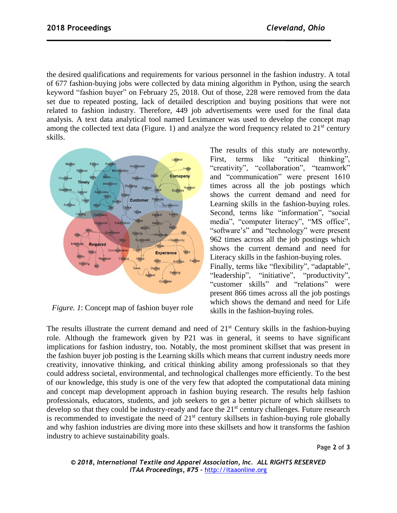the desired qualifications and requirements for various personnel in the fashion industry. A total of 677 fashion-buying jobs were collected by data mining algorithm in Python, using the search keyword "fashion buyer" on February 25, 2018. Out of those, 228 were removed from the data set due to repeated posting, lack of detailed description and buying positions that were not related to fashion industry. Therefore, 449 job advertisements were used for the final data analysis. A text data analytical tool named Leximancer was used to develop the concept map among the collected text data (Figure. 1) and analyze the word frequency related to  $21<sup>st</sup>$  century skills.



*Figure. 1*: Concept map of fashion buyer role

The results of this study are noteworthy. First, terms like "critical thinking", "creativity", "collaboration", "teamwork" and "communication" were present 1610 times across all the job postings which shows the current demand and need for Learning skills in the fashion-buying roles. Second, terms like "information", "social media", "computer literacy", "MS office", "software's" and "technology" were present 962 times across all the job postings which shows the current demand and need for Literacy skills in the fashion-buying roles. Finally, terms like "flexibility", "adaptable", "leadership", "initiative", "productivity", "customer skills" and "relations" were present 866 times across all the job postings which shows the demand and need for Life skills in the fashion-buying roles.

The results illustrate the current demand and need of  $21<sup>st</sup>$  Century skills in the fashion-buying role. Although the framework given by P21 was in general, it seems to have significant implications for fashion industry, too. Notably, the most prominent skillset that was present in the fashion buyer job posting is the Learning skills which means that current industry needs more creativity, innovative thinking, and critical thinking ability among professionals so that they could address societal, environmental, and technological challenges more efficiently. To the best of our knowledge, this study is one of the very few that adopted the computational data mining and concept map development approach in fashion buying research. The results help fashion professionals, educators, students, and job seekers to get a better picture of which skillsets to develop so that they could be industry-ready and face the  $21<sup>st</sup>$  century challenges. Future research is recommended to investigate the need of  $21<sup>st</sup>$  century skillsets in fashion-buying role globally and why fashion industries are diving more into these skillsets and how it transforms the fashion industry to achieve sustainability goals.

Page **2** of **3**

*© 2018, International Textile and Apparel Association, Inc. ALL RIGHTS RESERVED ITAA Proceedings, #75 –* [http://itaaonline.org](http://itaaonline.org/)